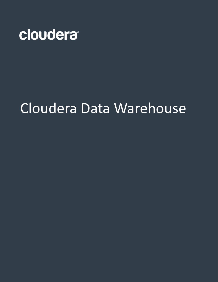

# Cloudera Data Warehouse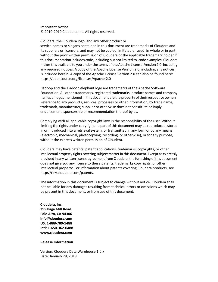#### **Important Notice**

© 2010-2019 Cloudera, Inc. All rights reserved.

Cloudera, the Cloudera logo, and any other product or service names or slogans contained in this document are trademarks of Cloudera and its suppliers or licensors, and may not be copied, imitated or used, in whole or in part, without the prior written permission of Cloudera or the applicable trademark holder. If this documentation includes code, including but not limited to, code examples, Cloudera makesthis available to you underthe terms ofthe Apache License, Version 2.0, including any required notices. A copy of the Apache License Version 2.0, including any notices, is included herein. A copy of the Apache License Version 2.0 can also be found here: https://opensource.org/licenses/Apache-2.0

Hadoop and the Hadoop elephant logo are trademarks of the Apache Software Foundation. All other trademarks, registered trademarks, product names and company names or logos mentioned in this document are the property of their respective owners. Reference to any products, services, processes or other information, by trade name, trademark, manufacturer, supplier or otherwise does not constitute or imply endorsement, sponsorship or recommendation thereof by us.

Complying with all applicable copyright laws is the responsibility of the user. Without limiting the rights under copyright, no part of this document may be reproduced, stored in or introduced into a retrieval system, or transmitted in any form or by any means (electronic, mechanical, photocopying, recording, or otherwise), or for any purpose, without the express written permission of Cloudera.

Cloudera may have patents, patent applications, trademarks, copyrights, or other intellectual property rights covering subject matterin this document. Except as expressly provided in any written license agreement from Cloudera, the furnishing of this document does not give you any license to these patents, trademarks copyrights, or other intellectual property. For information about patents covering Cloudera products, see http://tiny.cloudera.com/patents.

The information in this document is subject to change without notice. Cloudera shall not be liable for any damages resulting from technical errors or omissions which may be present in this document, or from use of this document.

**Cloudera, Inc. 395 Page Mill Road Palo Alto, CA 94306 info@cloudera.com US: 1-888-789-1488 Intl: 1-650-362-0488 www.cloudera.com**

### **Release Information**

Version: Cloudera Data Warehouse 1.0.x Date: January 28, 2019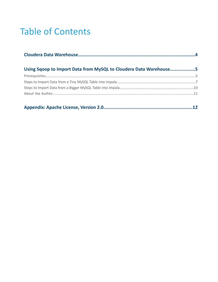## **Table of Contents**

| Using Sqoop to Import Data from MySQL to Cloudera Data Warehouse5 |  |
|-------------------------------------------------------------------|--|
|                                                                   |  |
|                                                                   |  |
|                                                                   |  |
|                                                                   |  |
|                                                                   |  |

|--|--|--|--|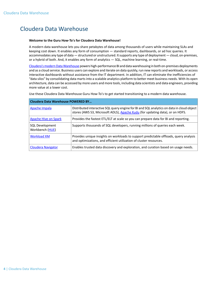### <span id="page-3-0"></span>Cloudera Data Warehouse

#### **Welcome to the Guru How-To's for Cloudera Data Warehouse!**

A modern data warehouse lets you share petabytes of data among thousands of users while maintaining SLAs and keeping cost down. It enables any form of consumption — standard reports, dashboards, or ad hoc queries. It accommodates any type of data — structured or unstructured. It supports any type of deployment — cloud, on-premises, or a hybrid of both. And, it enables any form of analytics — SQL, machine learning, or real-time.

Cloudera's modern Data Warehouse powers high-performance BI and data warehousing in both on-premises deployments and as a cloud service. Business users can explore and iterate on data quickly, run new reports and workloads, or access interactive dashboards without assistance from the IT department. In addition, IT can eliminate the inefficiencies of "data silos" by consolidating data martsinto a scalable analytics platform to better meet business needs. With its open architecture, data can be accessed by more users and more tools, including data scientists and data engineers, providing more value at a lower cost.

Use these Cloudera Data Warehouse Guru How-To's to get started transitioning to a modern data warehouse.

| <b>Cloudera Data Warehouse POWERED BY</b> |                                                                                                                                                                            |  |
|-------------------------------------------|----------------------------------------------------------------------------------------------------------------------------------------------------------------------------|--|
| Apache Impala                             | Distributed interactive SQL query engine for BI and SQL analytics on data in cloud object<br>stores (AWS S3, Microsoft ADLS), Apache Kudu (for updating data), or on HDFS. |  |
| Apache Hive on Spark                      | Provides the fastest ETL/ELT at scale so you can prepare data for BI and reporting.                                                                                        |  |
| <b>SQL Development</b><br>Workbench (HUE) | Supports thousands of SQL developers, running millions of queries each week.                                                                                               |  |
| <b>Workload XM</b>                        | Provides unique insights on workloads to support predictable offloads, query analysis<br>and optimizations, and efficient utilization of cluster resources.                |  |
| Cloudera Navigator                        | Enables trusted data discovery and exploration, and curation based on usage needs.                                                                                         |  |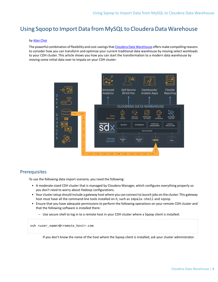### <span id="page-4-0"></span>Using Sqoop to Import Data from MySQL to Cloudera Data Warehouse

### by Alan [Choi](#page-10-0)

The powerful combination of flexibility and cost-savings that Cloudera Data [Warehouse](https://www.cloudera.com/products/data-warehouse.html) offers make compelling reasons to consider how you can transform and optimize your current traditional data warehouse by moving select workloads to your CDH cluster. This article shows you how you can start the transformation to a modern data warehouse by moving some initial data over to Impala on your CDH cluster:



### <span id="page-4-1"></span>**Prerequisites**

To use the following data import scenario, you need the following:

- A moderate-sized CDH cluster that is managed by Cloudera Manager, which configures everything properly so you don't need to worry about Hadoop configurations.
- Your cluster setup should include a gateway host where you can connect to launch jobs on the cluster. This gateway host must have all the command-line tools installed on it, such as impala-shell and sgoop.
- Ensure that you have adequate permissions to perform the following operations on your remote CDH cluster and that the following software is installed there:
	- Use secure shell to log in to a remote host in your CDH cluster where a Sqoop client is installed:

ssh <*user\_name*>@<*remote\_host*>.com If you don't know the name of the host where the Sqoop client is installed, ask your cluster administrator.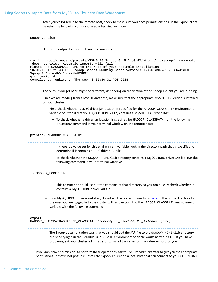– After you've logged in to the remote host, check to make sure you have permissions to run the Sqoop client by using the following command in your terminal window:

| sqoop version                                   |                                                                                                                                                                                                                                                                                                                                                            |
|-------------------------------------------------|------------------------------------------------------------------------------------------------------------------------------------------------------------------------------------------------------------------------------------------------------------------------------------------------------------------------------------------------------------|
|                                                 | Here's the output I see when I run this command:                                                                                                                                                                                                                                                                                                           |
| Sqoop 1.4.6-cdh5.15.2-SNAPSHOT<br>git commit id | Warning: /opt/cloudera/parcels/CDH-5.15.2-1.cdh5.15.2.p0.43/bin//lib/sqoop//accumulo<br>does not exist! Accumulo imports will fail.<br>Please set \$ACCUMULO_HOME to the root of your Accumulo installation.<br>18/09/13 17:21:48 INFO sqoop. Sqoop: Running Sqoop version: 1.4.6-cdh5.15.2-SNAPSHOT<br>Compiled by jenkins on Thu Sep 6 02:30:31 PDT 2018 |
|                                                 | The output you get back might be different, depending on the version of the Sqoop 1 client you are running.                                                                                                                                                                                                                                                |
| on your cluster:                                | - Since we are reading from a MySQL database, make sure that the appropriate MySQL JDBC driver is installed                                                                                                                                                                                                                                                |
|                                                 | - First, check whether a JDBC driver jar location is specified for the HADOOP_CLASSPATH environment<br>variable or if the directory, \$SQOOP_HOME/lib, contains a MySQL JDBC driver JAR:                                                                                                                                                                   |
|                                                 | - To check whether a driver jar location is specified for HADOOP_CLASSPATH, run the following<br>printeny command in your terminal window on the remote host:                                                                                                                                                                                              |
| printenv "HADOOP_CLASSPATH"                     |                                                                                                                                                                                                                                                                                                                                                            |
|                                                 | If there is a value set for this environment variable, look in the directory path that is specified to<br>determine if it contains a JDBC driver JAR file.                                                                                                                                                                                                 |
|                                                 | - To check whether the \$SQOOP_HOME/lib directory contains a MySQL JDBC driver JAR file, run the<br>following command in your terminal window:                                                                                                                                                                                                             |
| ls \$SQOOP_HOME/lib                             |                                                                                                                                                                                                                                                                                                                                                            |
|                                                 | This command should list out the contents of that directory so you can quickly check whether it<br>contains a MySQL JDBC driver JAR file.                                                                                                                                                                                                                  |
|                                                 | - If no MySQL JDBC driver is installed, download the correct driver from here to the home directory for<br>the user you are logged in to the cluster with and export it to the HADOOP_CLASSPATH environment<br>variable with the following command:                                                                                                        |
| export                                          | HADOOP_CLASSPATH=\$HADOOP_CLASSPATH:/home/ <your_name>/<jdbc_filename.jar>;</jdbc_filename.jar></your_name>                                                                                                                                                                                                                                                |
|                                                 | The Sqoop documentation says that you should add the JAR file to the \$SQOOP_HOME/lib directory,<br>but specifying it in the HADOOP_CLASSPATH environment variable works better in CDH. If you have<br>problems, ask your cluster administrator to install the driver on the gateway host for you.                                                         |
|                                                 | If you don't have permissions to perform these operations, ask your cluster administrator to give you the appropriate<br>permissions. If that is not possible, install the Sqoop 1 client on a local host that can connect to your CDH cluster.                                                                                                            |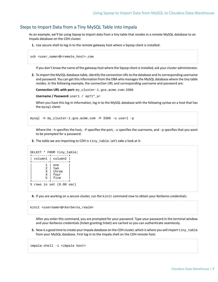### <span id="page-6-0"></span>Steps to Import Data from a Tiny MySQL Table into Impala

As an example, we'll be using Sqoop to import data from a tiny table that resides in a remote MySQL database to an Impala database on the CDH cluster.

**1.** Use secure shell to log in to the remote gateway host where a Sqoop client is installed:

```
ssh <user_name>@<remote_host>.com
```
If you don't know the name of the gateway host where the Sqoop client is installed, ask your cluster administrator.

**2.** To import the MySQL database table, identify the connection URL to the database and its corresponding username and password. You can get thisinformation from the DBA who managesthe MySQL database where the tiny table resides. In the following example, the connection URL and corresponding username and password are:

**Connection URL with port:** my\_cluster-1.gce.acme.com:3306

**Username / Password:** user1 / ep71\*\_a!

When you have this log-in information, log in to the MySQL database with the following syntax on a host that has the mysql client:

```
mysql -h my_cluster-1.gce.acme.com -P 3306 -u user1 -p
```
Where the  $-h$  specifies the host,  $-P$  specifies the port,  $-u$  specifies the username, and  $-p$  specifies that you want to be prompted for a password.

**3.** The table we are importing to CDH is  $\text{tiny\_table}$ . Let's take a look at it:

```
SELECT * FROM tiny_table;
+---------+---------+
| column1 | column2 |
  +---------+---------+
        1 | one
        2 | two
| 3 | three |
| 4 \mid four \mid| 5 | five |
  +---------+---------+
5 rows in set (0.00 sec)
```
**4.** If you are working on a secure cluster, run the kinit command now to obtain your Kerberos credentials:

kinit <*username*>@<*kerberos\_realm*>

After you enter this command, you are prompted for your password. Type your password in the terminal window and your Kerberos credentials (ticket-granting ticket) are cached so you can authenticate seamlessly.

**5.** Now is a good time to create your Impala database on the CDH cluster, which is where you will import tiny\_table from your MySQL database. First log in to the Impala shell on the CDH remote host:

impala-shell -i <*impala host*>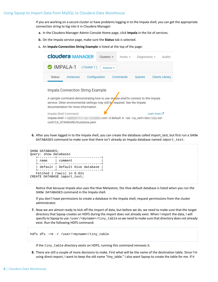If you are working on a secure cluster or have problems logging in to the Impala shell, you can get the appropriate connection string to log into it in Cloudera Manager:

- **a.** In the Cloudera Manager Admin Console Home page, click **Impala** in the list of services.
- **b.** On the Impala service page, make sure the **Status** tab is selected.
- **c.** An **Impala Connection String Example** is listed at the top of the page:

| <b>Cloudera MANAGER</b>                                                                                                                                                                                                                                                                                                         | Clusters $\sim$                          | Hosts $\star$ | Diagnostics $\sim$ |                         | Audits                |
|---------------------------------------------------------------------------------------------------------------------------------------------------------------------------------------------------------------------------------------------------------------------------------------------------------------------------------|------------------------------------------|---------------|--------------------|-------------------------|-----------------------|
| <b>IMPALA-1</b><br>(Cluster 1)                                                                                                                                                                                                                                                                                                  | Actions $\star$                          |               |                    |                         |                       |
| Configuration<br>Status<br>Instances                                                                                                                                                                                                                                                                                            |                                          | Commands      | Queries            |                         | <b>Charts Library</b> |
| Impala Connection String Example<br>A sample command demonstrating how to use <i>impala-shell</i> to connect to this Impala<br>service. Other environmental settings may still be required. See the Impala<br>documentation for more information.<br>Impala Shell Command<br>impala-shell -i<br>conf/CA_STANDARD/truststore.pem | .com -d default -k --ssl --ca_cert=/etc/ |               |                    | Learn more C<br>$-SS$ - |                       |

**6.** After you have logged in to the Impala shell, you can create the database called import\_test, but first run a SHOW DATABASES command to make sure that there isn't already an Impala database named import\_test:



Notice that because Impala also uses the Hive Metastore, the Hive default database is listed when you run the SHOW DATABASES command in the Impala shell.

If you don't have permissions to create a database in the Impala shell, request permissions from the cluster administrator.

**7.** Now we are almost ready to kick off the import of data, but before we do, we need to make sure that the target directory that Sqoop creates on HDFS during the import does not already exist. When I import the data, I will specify to Sqoop to use /user/<*myname>/tiny\_table so* we need to make sure that directory does not already exist. Run the following HDFS command:

hdfs dfs -rm -r /user/<*myname*>/tiny\_table

If the tiny\_table directory exists on HDFS, running this command removes it.

**8.** There are still a couple of more decisions to make. First what will be the name of the destination table. Since I'm using direct export, I want to keep the old name "tiny\_table." I also want Sqoop to create the table for me. If it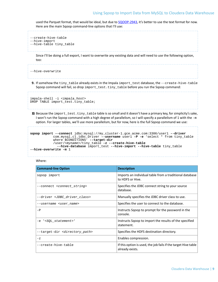used the Parquet format, that would be ideal, but due to [SQOOP-2943](https://issues.apache.org/jira/browse/SQOOP-2943), it's better to use the text format for now. Here are the main Sqoop command-line options that I'll use:

```
--create-hive-table
--hive-import
--hive-table tiny_table
```
Since I'll be doing a full export, I want to overwrite any existing data and will need to use the following option, too:

--hive-overwrite

**9.** If somehow the tiny\_table already exists in the Impala import\_test database, the --create-hive-table Sqoop command will fail, so drop import\_test.tiny\_table before you run the Sqoop command:

impala-shell -i <*impala\_host*>

```
DROP TABLE import_test.tiny_table;
```
**10.** Because the import\_test.tiny\_table table is so small and it doesn't have a primary key, for simplicity's sake, I won't run the Sqoop command with a high degree of parallelism, so I will specify a parallelism of 1 with the  $-m$ option. For larger tables, we'll use more parallelism, but for now, here is the full Sqoop command we use:

```
sqoop import --connect jdbc:mysql://my_cluster-1.gce.acme.com:3306/user1 --driver
            com.mysql.cj.jdbc.Driver --username user1 -P -e 'select * from tiny_table
            where $CONDITIONS' --target-dir
 /user/<myname>/tiny_table -z --create-hive-table
 --hive-database import_test --hive-import --hive-table tiny_table 
--hive-overwrite -m 1
```
#### Where:

| <b>Command-line Option</b>                       | <b>Description</b>                                                                |
|--------------------------------------------------|-----------------------------------------------------------------------------------|
| sqoop import                                     | Imports an individual table from a traditional database<br>to HDFS or Hive.       |
| --connect <connect_string></connect_string>      | Specifies the JDBC connect string to your source<br>database.                     |
| --driver <jdbc_driver_class></jdbc_driver_class> | Manually specifies the JDBC driver class to use.                                  |
| --username < <i>user name</i> >                  | Specifies the user to connect to the database.                                    |
| $-P$                                             | Instructs Sgoop to prompt for the password in the<br>console.                     |
| -e ' <sql_statement>'</sql_statement>            | Instructs Sgoop to import the results of the specified<br>statement.              |
| --target-dir <directory_path></directory_path>   | Specifies the HDFS destination directory.                                         |
| $-Z$                                             | Enables compression.                                                              |
| --create-hive-table                              | If this option is used, the job fails if the target Hive table<br>already exists. |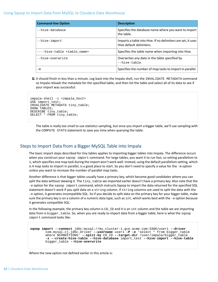| <b>Command-line Option</b>           | <b>Description</b>                                                                       |
|--------------------------------------|------------------------------------------------------------------------------------------|
| --hive-database                      | Specifies the database name where you want to import<br>the table.                       |
| --hive-import                        | Imports a table into Hive. If no delimiters are set, it uses<br>Hive default delimiters. |
| --hive-table <table name=""></table> | Specifies the table name when importing into Hive.                                       |
| --hive-overwrite                     | Overwrites any data in the table specified by<br>--hive-table.                           |
| -m                                   | Specifies the number of map tasks to import in parallel.                                 |

**11.** It should finish in less than a minute. Log back into the Impala shell, run the INVALIDATE METADATA command so Impala reloads the metadata for the specified table, and then list the table and select all of its data to see if your import was successful:

```
impala-shell -i <impala_host>
USE import_test;
INVALIDATE METADATA tiny_table;
SHOW TABLES;
DESCRIBE tiny_table;
SELECT * FROM tiny_table;
```
The table is really too small to use statistics sampling, but once you import a bigger table, we'll use sampling with the COMPUTE STATS statement to save you time when querying the table.

### <span id="page-9-0"></span>Steps to Import Data from a Bigger MySQL Table into Impala

The basic import steps described for tiny tables applies to importing bigger tables into Impala. The difference occurs when you construct your sgoop import command. For large tables, you want it to run fast, so setting parallelism to 1, which specifies one map task during the import won't work well. Instead, using the default parallelism setting, which is 4 map tasks to import in parallel, is a good place to start. So you don't need to specify a value for the -m option unless you want to increase the number of parallel map tasks.

Another difference is that bigger tables usually have a primary key, which become good candidates where you can split the data without skewing it. The tiny\_table we imported earlier doesn't have a primary key. Also note that the -e option for the sqoop import command, which instructs Sqoop to import the data returned for the specified SQL statement doesn't work if you split data on a string column. If string columns are used to split the data with the -e option, it generates incompatible SQL. So if you decide to split data on the primary key for your bigger table, make sure the primary key is on a column of a numeric data type, such as int, which works best with the -e option because it generates compatible SQL.

In the following example, the primary key column is  $CD_$  and it is an int column and the table we are importing data from is bigger\_table. So, when you are ready to import data from a bigger table, here is what the sqoop import command looks like:

```
sqoop import --connect jdbc:mysql://my_cluster-1.gce.acme.com:3306/user1 --driver
         com.mysql.cj.jdbc.Driver --username user1 -P -e 'select * from bigger_table
         where $CONDITIONS' --split-by CD_ID --target-dir /user/impala/bigger_table
        -z --create-hive-table --hive-database import_test --hive-import --hive-table
        bigger_table --hive-overwrite
```
Where the new option not defined earlier in this article is: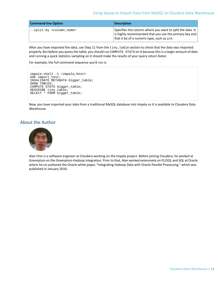| <b>Command-line Option</b>             | <b>Description</b>                                                                                                                                                |
|----------------------------------------|-------------------------------------------------------------------------------------------------------------------------------------------------------------------|
| --split-by <column_name></column_name> | Specifies the column where you want to split the data. It<br>is highly recommended that you use the primary key and<br>that it be of a numeric type, such as int. |

After you have imported the data, use Step 11 from the  $\text{tiny\_table}$  section to check that the data was imported properly. But before you query the table, you should run COMPUTE STATS on it because thisis a larger amount of data and running a quick statistics sampling on it should make the results of your query return faster.

For example, the full command sequence you'd run is:

```
impala-shell -i <impala_host>
USE import_test;
INVALIDATE METADATA bigger_table;
SHOW TABLES;
COMPUTE STATS bigger_table;
DESCRIBE tiny_table;
SELECT * FROM bigger_table;
```
<span id="page-10-0"></span>Now, you have imported your data from a traditional MySQL database into Impala so it is available to Cloudera Data Warehouse.

### About the Author



Alan Choi is a software engineer at Cloudera working on the Impala project. Before joining Cloudera, he worked at Greenplum on the Greenplum-Hadoop integration. Prior to that, Alan worked extensively on PL/SQL and SQL at Oracle where he co-authored the Oracle white paper, "Integrating Hadoop Data with Oracle Parallel Processing," which was published in January 2010.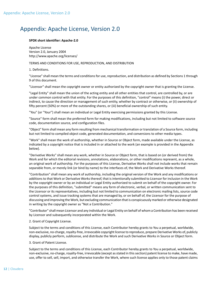### <span id="page-11-0"></span>Appendix: Apache License, Version 2.0

### **SPDX short identifier: Apache-2.0**

Apache License Version 2.0, January 2004 http://www.apache.org/licenses/

### TERMS AND CONDITIONS FOR USE, REPRODUCTION, AND DISTRIBUTION

1. Definitions.

"License" shall mean the terms and conditions for use, reproduction, and distribution as defined by Sections 1 through 9 of this document.

"Licensor" shall mean the copyright owner or entity authorized by the copyright owner that is granting the License.

"Legal Entity" shall mean the union of the acting entity and all other entities that control, are controlled by, or are under common control with that entity. For the purposes of this definition, "control" means (i) the power, direct or indirect, to cause the direction or management of such entity, whether by contract or otherwise, or (ii) ownership of fifty percent (50%) or more of the outstanding shares, or (iii) beneficial ownership of such entity.

"You" (or "Your") shall mean an individual or Legal Entity exercising permissions granted by this License.

"Source" form shall mean the preferred form for making modifications, including but not limited to software source code, documentation source, and configuration files.

"Object" form shall mean any form resulting from mechanical transformation or translation of a Source form, including but not limited to compiled object code, generated documentation, and conversions to other media types.

"Work" shall mean the work of authorship, whether in Source or Object form, made available under the License, as indicated by a copyright notice that is included in or attached to the work (an example is provided in the Appendix below).

"Derivative Works" shall mean any work, whether in Source or Object form, that is based on (or derived from) the Work and for which the editorial revisions, annotations, elaborations, or other modifications represent, as a whole, an original work of authorship. For the purposes of this License, Derivative Works shall not include works that remain separable from, or merely link (or bind by name) to the interfaces of, the Work and Derivative Works thereof.

"Contribution" shall mean any work of authorship, including the original version of the Work and any modifications or additions to that Work or Derivative Works thereof, that is intentionally submitted to Licensor for inclusion in the Work by the copyright owner or by an individual or Legal Entity authorized to submit on behalf of the copyright owner. For the purposes of this definition, "submitted" means any form of electronic, verbal, or written communication sent to the Licensor or its representatives, including but not limited to communication on electronic mailing lists, source code control systems, and issue tracking systems that are managed by, or on behalf of, the Licensor for the purpose of discussing and improving the Work, but excluding communication that is conspicuously marked or otherwise designated in writing by the copyright owner as "Not a Contribution."

"Contributor" shall mean Licensor and any individual or Legal Entity on behalf of whom a Contribution has been received by Licensor and subsequently incorporated within the Work.

### 2. Grant of Copyright License.

Subject to the terms and conditions of this License, each Contributor hereby grants to You a perpetual, worldwide, non-exclusive, no-charge, royalty-free, irrevocable copyright license to reproduce, prepare Derivative Works of, publicly display, publicly perform, sublicense, and distribute the Work and such Derivative Works in Source or Object form.

### 3. Grant of Patent License.

Subject to the terms and conditions of this License, each Contributor hereby grants to You a perpetual, worldwide, non-exclusive, no-charge, royalty-free, irrevocable (except as stated in this section) patent license to make, have made, use, offer to sell, sell, import, and otherwise transfer the Work, where such license applies only to those patent claims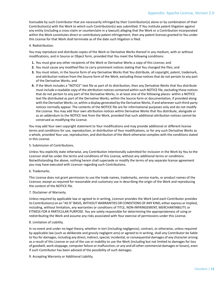licensable by such Contributor that are necessarily infringed by their Contribution(s) alone or by combination of their Contribution(s) with the Work to which such Contribution(s) was submitted. If You institute patent litigation against any entity (including a cross-claim or counterclaim in a lawsuit) alleging that the Work or a Contribution incorporated within the Work constitutes direct or contributory patent infringement, then any patent licenses granted to You under this License for that Work shall terminate as of the date such litigation is filed.

### 4. Redistribution.

You may reproduce and distribute copies of the Work or Derivative Works thereof in any medium, with or without modifications, and in Source or Object form, provided that You meet the following conditions:

- **1.** You must give any other recipients of the Work or Derivative Works a copy of this License; and
- **2.** You must cause any modified files to carry prominent notices stating that You changed the files; and
- **3.** You must retain, in the Source form of any Derivative Works that You distribute, all copyright, patent, trademark, and attribution notices from the Source form of the Work, excluding those notices that do not pertain to any part of the Derivative Works; and
- **4.** If the Work includes a "NOTICE" text file as part of its distribution, then any Derivative Works that You distribute must include a readable copy of the attribution notices contained within such NOTICE file, excluding those notices that do not pertain to any part of the Derivative Works, in at least one of the following places: within a NOTICE text file distributed as part of the Derivative Works; within the Source form or documentation, if provided along with the Derivative Works; or, within a display generated by the Derivative Works, if and whereversuch third-party notices normally appear. The contents of the NOTICE file are for informational purposes only and do not modify the License. You may add Your own attribution notices within Derivative Works that You distribute, alongside or as an addendum to the NOTICE text from the Work, provided that such additional attribution notices cannot be construed as modifying the License.

You may add Your own copyright statement to Your modifications and may provide additional or different license terms and conditions for use, reproduction, or distribution of Your modifications, or for any such Derivative Works as a whole, provided Your use, reproduction, and distribution of the Work otherwise complies with the conditions stated in this License.

### 5. Submission of Contributions.

Unless You explicitly state otherwise, any Contribution intentionally submitted for inclusion in the Work by You to the Licensor shall be under the terms and conditions of this License, without any additional terms or conditions. Notwithstanding the above, nothing herein shall supersede or modify the terms of any separate license agreement you may have executed with Licensor regarding such Contributions.

### 6. Trademarks.

This License does not grant permission to use the trade names, trademarks, service marks, or product names of the Licensor, except as required for reasonable and customary use in describing the origin of the Work and reproducing the content of the NOTICE file.

### 7. Disclaimer of Warranty.

Unless required by applicable law or agreed to in writing, Licensor provides the Work (and each Contributor provides its Contributions) on an "AS IS" BASIS, WITHOUT WARRANTIES OR CONDITIONS OF ANY KIND, either express orimplied, including, without limitation, any warranties or conditions of TITLE, NON-INFRINGEMENT, MERCHANTABILITY, or FITNESS FOR A PARTICULAR PURPOSE. You are solely responsible for determining the appropriateness of using or redistributing the Work and assume any risks associated with Your exercise of permissions under this License.

### 8. Limitation of Liability.

In no event and under no legal theory, whether in tort (including negligence), contract, or otherwise, unless required by applicable law (such as deliberate and grossly negligent acts) or agreed to in writing, shall any Contributor be liable to You for damages, including any direct, indirect, special, incidental, or consequential damages of any character arising as a result of this License or out of the use or inability to use the Work (including but not limited to damages for loss of goodwill, work stoppage, computer failure or malfunction, or any and all other commercial damages or losses), even if such Contributor has been advised of the possibility of such damages.

9. Accepting Warranty or Additional Liability.